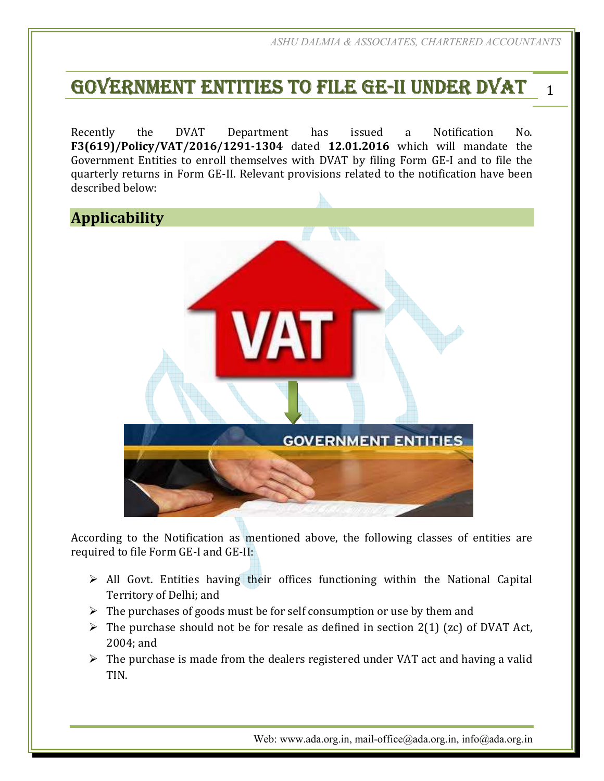# GOVERNMENT ENTITIES TO FILE GE-II UNDER DVAT 1

Recently the DVAT Department has issued a Notification No. **F3(619)/Policy/VAT/2016/1291-1304** dated **12.01.2016** which will mandate the Government Entities to enroll themselves with DVAT by filing Form GE-I and to file the quarterly returns in Form GE-II. Relevant provisions related to the notification have been described below:



According to the Notification as mentioned above, the following classes of entities are required to file Form GE-I and GE-II:

- $\triangleright$  All Govt. Entities having their offices functioning within the National Capital Territory of Delhi; and
- $\triangleright$  The purchases of goods must be for self consumption or use by them and
- $\triangleright$  The purchase should not be for resale as defined in section 2(1) (zc) of DVAT Act, 2004; and
- $\triangleright$  The purchase is made from the dealers registered under VAT act and having a valid TIN.

Web: www.ada.org.in, mail-office@ada.org.in, info@ada.org.in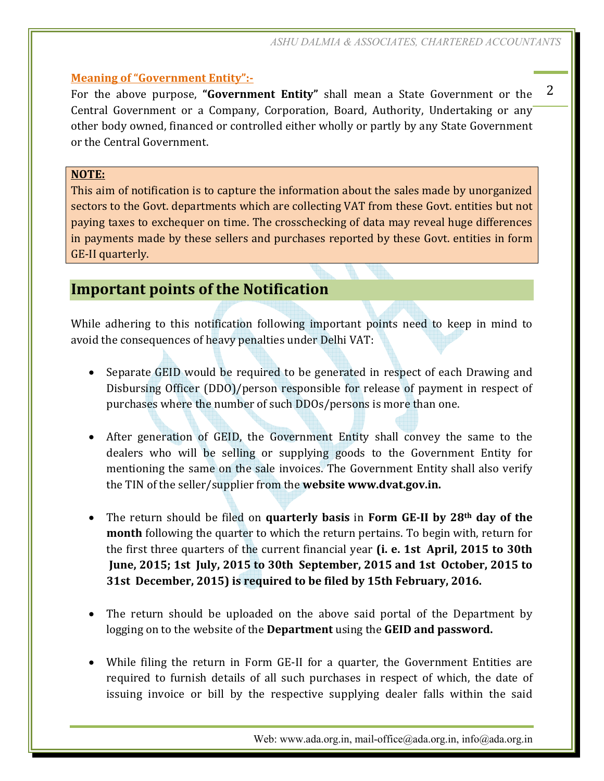### **Meaning of "Government Entity":-**

For the above purpose, **"Government Entity"** shall mean a State Government or the Central Government or a Company, Corporation, Board, Authority, Undertaking or any other body owned, financed or controlled either wholly or partly by any State Government or the Central Government.

#### **NOTE:**

This aim of notification is to capture the information about the sales made by unorganized sectors to the Govt. departments which are collecting VAT from these Govt. entities but not paying taxes to exchequer on time. The crosschecking of data may reveal huge differences in payments made by these sellers and purchases reported by these Govt. entities in form GE-II quarterly.

# **Important points of the Notification**

While adhering to this notification following important points need to keep in mind to avoid the consequences of heavy penalties under Delhi VAT:

- Separate GEID would be required to be generated in respect of each Drawing and Disbursing Officer (DDO)/person responsible for release of payment in respect of purchases where the number of such DDOs/persons is more than one.
- After generation of GEID, the Government Entity shall convey the same to the dealers who will be selling or supplying goods to the Government Entity for mentioning the same on the sale invoices. The Government Entity shall also verify the TIN of the seller/supplier from the **website www.dvat.gov.in.**
- The return should be filed on **quarterly basis** in **Form GE-II by 28th day of the month** following the quarter to which the return pertains. To begin with, return for the first three quarters of the current financial year **(i. e. 1st April, 2015 to 30th June, 2015; 1st July, 2015 to 30th September, 2015 and 1st October, 2015 to 31st December, 2015) is required to be filed by 15th February, 2016.**
- The return should be uploaded on the above said portal of the Department by logging on to the website of the **Department** using the **GEID and password.**
- While filing the return in Form GE-II for a quarter, the Government Entities are required to furnish details of all such purchases in respect of which, the date of issuing invoice or bill by the respective supplying dealer falls within the said

Web: www.ada.org.in, mail-office@ada.org.in, info@ada.org.in

2